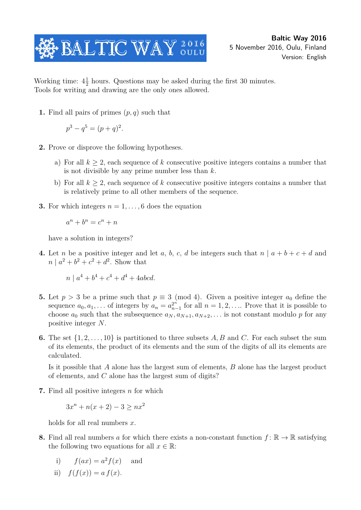

Working time:  $4\frac{1}{2}$  $\frac{1}{2}$  hours. Questions may be asked during the first 30 minutes. Tools for writing and drawing are the only ones allowed.

**1.** Find all pairs of primes (*p, q*) such that

$$
p^3 - q^5 = (p+q)^2.
$$

- **2.** Prove or disprove the following hypotheses.
	- a) For all *k* ≥ 2, each sequence of *k* consecutive positive integers contains a number that is not divisible by any prime number less than *k*.
	- b) For all *k* ≥ 2, each sequence of *k* consecutive positive integers contains a number that is relatively prime to all other members of the sequence.
- **3.** For which integers  $n = 1, \ldots, 6$  does the equation

$$
a^n + b^n = c^n + n
$$

have a solution in integers?

**4.** Let *n* be a positive integer and let *a*, *b*, *c*, *d* be integers such that  $n | a + b + c + d$  and  $n | a^2 + b^2 + c^2 + d^2$ . Show that

$$
n \mid a^4 + b^4 + c^4 + d^4 + 4abcd.
$$

- **5.** Let  $p > 3$  be a prime such that  $p \equiv 3 \pmod{4}$ . Given a positive integer  $a_0$  define the sequence  $a_0, a_1, \ldots$  of integers by  $a_n = a_n^{2^n}$  $n = \binom{2^n}{n-1}$  for all  $n = 1, 2, \ldots$  Prove that it is possible to choose  $a_0$  such that the subsequence  $a_N, a_{N+1}, a_{N+2}, \ldots$  is not constant modulo p for any positive integer *N*.
- **6.** The set  $\{1, 2, \ldots, 10\}$  is partitioned to three subsets A, B and C. For each subset the sum of its elements, the product of its elements and the sum of the digits of all its elements are calculated.

Is it possible that *A* alone has the largest sum of elements, *B* alone has the largest product of elements, and *C* alone has the largest sum of digits?

**7.** Find all positive integers *n* for which

$$
3x^{n} + n(x+2) - 3 \ge nx^{2}
$$

holds for all real numbers *x*.

**8.** Find all real numbers a for which there exists a non-constant function  $f: \mathbb{R} \to \mathbb{R}$  satisfying the following two equations for all  $x \in \mathbb{R}$ :

i) 
$$
f(ax) = a^2 f(x)
$$
 and

ii) 
$$
f(f(x)) = a f(x).
$$